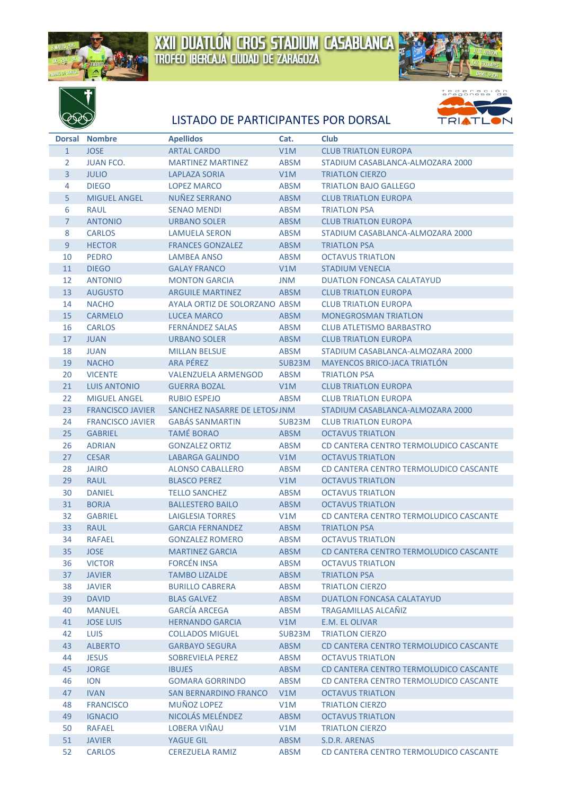





## LISTADO DE PARTICIPANTES POR DORSAL



|                | Dorsal Nombre           | <b>Apellidos</b>                         | Cat.             | <b>Club</b>                            |
|----------------|-------------------------|------------------------------------------|------------------|----------------------------------------|
| $\mathbf{1}$   | <b>JOSE</b>             | <b>ARTAL CARDO</b>                       | V1M              | <b>CLUB TRIATLON EUROPA</b>            |
| 2              | <b>JUAN FCO.</b>        | <b>MARTINEZ MARTINEZ</b>                 | <b>ABSM</b>      | STADIUM CASABLANCA-ALMOZARA 2000       |
| $\overline{3}$ | <b>JULIO</b>            | LAPLAZA SORIA                            | V1M              | <b>TRIATLON CIERZO</b>                 |
| 4              | <b>DIEGO</b>            | <b>LOPEZ MARCO</b>                       | <b>ABSM</b>      | <b>TRIATLON BAJO GALLEGO</b>           |
| 5              | <b>MIGUEL ANGEL</b>     | NUÑEZ SERRANO                            | <b>ABSM</b>      | <b>CLUB TRIATLON EUROPA</b>            |
| 6              | <b>RAUL</b>             | <b>SENAO MENDI</b>                       | <b>ABSM</b>      | <b>TRIATLON PSA</b>                    |
| $\overline{7}$ | <b>ANTONIO</b>          | <b>URBANO SOLER</b>                      | <b>ABSM</b>      | <b>CLUB TRIATLON EUROPA</b>            |
| 8              | <b>CARLOS</b>           | <b>LAMUELA SERON</b>                     | <b>ABSM</b>      | STADIUM CASABLANCA-ALMOZARA 2000       |
| 9              | <b>HECTOR</b>           | <b>FRANCES GONZALEZ</b>                  | <b>ABSM</b>      | <b>TRIATLON PSA</b>                    |
| 10             | <b>PEDRO</b>            | <b>LAMBEA ANSO</b>                       | <b>ABSM</b>      | <b>OCTAVUS TRIATLON</b>                |
| 11             | <b>DIEGO</b>            | <b>GALAY FRANCO</b>                      | V1M              | <b>STADIUM VENECIA</b>                 |
| 12             | <b>ANTONIO</b>          | <b>MONTON GARCIA</b>                     | JNM              | <b>DUATLON FONCASA CALATAYUD</b>       |
| 13             | <b>AUGUSTO</b>          | <b>ARGUILE MARTINEZ</b>                  | <b>ABSM</b>      | <b>CLUB TRIATLON EUROPA</b>            |
| 14             | <b>NACHO</b>            | AYALA ORTIZ DE SOLORZANO ABSM            |                  | <b>CLUB TRIATLON EUROPA</b>            |
| 15             | <b>CARMELO</b>          | <b>LUCEA MARCO</b>                       | <b>ABSM</b>      | <b>MONEGROSMAN TRIATLON</b>            |
| 16             | <b>CARLOS</b>           | <b>FERNÁNDEZ SALAS</b>                   | ABSM             | <b>CLUB ATLETISMO BARBASTRO</b>        |
| 17             | <b>JUAN</b>             | <b>URBANO SOLER</b>                      |                  | <b>CLUB TRIATLON EUROPA</b>            |
|                |                         |                                          | <b>ABSM</b>      |                                        |
| 18             | <b>JUAN</b>             | <b>MILLAN BELSUE</b><br><b>ARA PÉREZ</b> | <b>ABSM</b>      | STADIUM CASABLANCA-ALMOZARA 2000       |
| 19             | <b>NACHO</b>            | <b>VALENZUELA ARMENGOD</b>               | SUB23M           | <b>MAYENCOS BRICO-JACA TRIATLÓN</b>    |
| 20             | <b>VICENTE</b>          |                                          | <b>ABSM</b>      | <b>TRIATLON PSA</b>                    |
| 21             | <b>LUIS ANTONIO</b>     | <b>GUERRA BOZAL</b>                      | V1M              | <b>CLUB TRIATLON EUROPA</b>            |
| 22             | <b>MIGUEL ANGEL</b>     | <b>RUBIO ESPEJO</b>                      | <b>ABSM</b>      | <b>CLUB TRIATLON EUROPA</b>            |
| 23             | <b>FRANCISCO JAVIER</b> | SANCHEZ NASARRE DE LETOS/JNM             |                  | STADIUM CASABLANCA-ALMOZARA 2000       |
| 24             | <b>FRANCISCO JAVIER</b> | <b>GABÁS SANMARTIN</b>                   | SUB23M           | <b>CLUB TRIATLON EUROPA</b>            |
| 25             | <b>GABRIEL</b>          | <b>TAMÉ BORAO</b>                        | <b>ABSM</b>      | <b>OCTAVUS TRIATLON</b>                |
| 26             | <b>ADRIAN</b>           | <b>GONZALEZ ORTIZ</b>                    | <b>ABSM</b>      | CD CANTERA CENTRO TERMOLUDICO CASCANTE |
| 27             | <b>CESAR</b>            | LABARGA GALINDO                          | V1M              | <b>OCTAVUS TRIATLON</b>                |
| 28             | <b>JAIRO</b>            | <b>ALONSO CABALLERO</b>                  | <b>ABSM</b>      | CD CANTERA CENTRO TERMOLUDICO CASCANTE |
| 29             | <b>RAUL</b>             | <b>BLASCO PEREZ</b>                      | V1M              | <b>OCTAVUS TRIATLON</b>                |
| 30             | <b>DANIEL</b>           | <b>TELLO SANCHEZ</b>                     | <b>ABSM</b>      | <b>OCTAVUS TRIATLON</b>                |
| 31             | <b>BORJA</b>            | <b>BALLESTERO BAILO</b>                  | <b>ABSM</b>      | <b>OCTAVUS TRIATLON</b>                |
| 32             | <b>GABRIEL</b>          | <b>LAIGLESIA TORRES</b>                  | V1M              | CD CANTERA CENTRO TERMOLUDICO CASCANTE |
| 33             | <b>RAUL</b>             | <b>GARCIA FERNANDEZ</b>                  | <b>ABSM</b>      | <b>TRIATLON PSA</b>                    |
| 34             | <b>RAFAEL</b>           | <b>GONZALEZ ROMERO</b>                   | <b>ABSM</b>      | <b>OCTAVUS TRIATLON</b>                |
| 35             | <b>JOSE</b>             | <b>MARTINEZ GARCIA</b>                   | <b>ABSM</b>      | CD CANTERA CENTRO TERMOLUDICO CASCANTE |
| 36             | <b>VICTOR</b>           | <b>FORCÉN INSA</b>                       | <b>ABSM</b>      | <b>OCTAVUS TRIATLON</b>                |
| 37             | <b>JAVIER</b>           | <b>TAMBO LIZALDE</b>                     | <b>ABSM</b>      | <b>TRIATLON PSA</b>                    |
| 38             | <b>JAVIER</b>           | <b>BURILLO CABRERA</b>                   | <b>ABSM</b>      | <b>TRIATLON CIERZO</b>                 |
| 39             | <b>DAVID</b>            | <b>BLAS GALVEZ</b>                       | <b>ABSM</b>      | <b>DUATLON FONCASA CALATAYUD</b>       |
| 40             | <b>MANUEL</b>           | <b>GARCÍA ARCEGA</b>                     | <b>ABSM</b>      | <b>TRAGAMILLAS ALCAÑIZ</b>             |
| 41             | <b>JOSE LUIS</b>        | <b>HERNANDO GARCIA</b>                   | V1M              | <b>E.M. EL OLIVAR</b>                  |
| 42             | <b>LUIS</b>             | <b>COLLADOS MIGUEL</b>                   | SUB23M           | <b>TRIATLON CIERZO</b>                 |
| 43             | <b>ALBERTO</b>          | <b>GARBAYO SEGURA</b>                    | <b>ABSM</b>      | CD CANTERA CENTRO TERMOLUDICO CASCANTE |
| 44             | <b>JESUS</b>            | SOBREVIELA PEREZ                         | ABSM             | <b>OCTAVUS TRIATLON</b>                |
| 45             | <b>JORGE</b>            | <b>IBUJES</b>                            | <b>ABSM</b>      | CD CANTERA CENTRO TERMOLUDICO CASCANTE |
| 46             | <b>ION</b>              | <b>GOMARA GORRINDO</b>                   | <b>ABSM</b>      | CD CANTERA CENTRO TERMOLUDICO CASCANTE |
| 47             | <b>IVAN</b>             | <b>SAN BERNARDINO FRANCO</b>             | V <sub>1</sub> M | <b>OCTAVUS TRIATLON</b>                |
| 48             | <b>FRANCISCO</b>        | MUÑOZ LOPEZ                              | V1M              | <b>TRIATLON CIERZO</b>                 |
| 49             | <b>IGNACIO</b>          | NICOLÁS MELÉNDEZ                         | <b>ABSM</b>      | <b>OCTAVUS TRIATLON</b>                |
| 50             | <b>RAFAEL</b>           | <b>LOBERA VIÑAU</b>                      | V1M              | <b>TRIATLON CIERZO</b>                 |
| 51             | <b>JAVIER</b>           | YAGUE GIL                                | ABSM             | S.D.R. ARENAS                          |
| 52             | <b>CARLOS</b>           | <b>CEREZUELA RAMIZ</b>                   | <b>ABSM</b>      | CD CANTERA CENTRO TERMOLUDICO CASCANTE |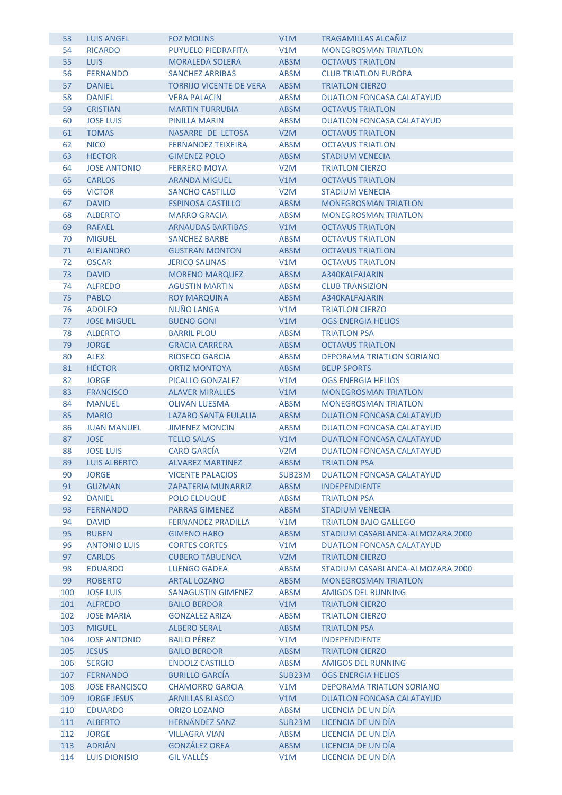| 53  | <b>LUIS ANGEL</b>     | <b>FOZ MOLINS</b>              | V1M              | <b>TRAGAMILLAS ALCANIZ</b>       |
|-----|-----------------------|--------------------------------|------------------|----------------------------------|
| 54  | <b>RICARDO</b>        | PUYUELO PIEDRAFITA             | V1M              | <b>MONEGROSMAN TRIATLON</b>      |
| 55  | <b>LUIS</b>           | <b>MORALEDA SOLERA</b>         | <b>ABSM</b>      | <b>OCTAVUS TRIATLON</b>          |
| 56  | <b>FERNANDO</b>       | <b>SANCHEZ ARRIBAS</b>         | <b>ABSM</b>      | <b>CLUB TRIATLON EUROPA</b>      |
| 57  | <b>DANIEL</b>         | <b>TORRIJO VICENTE DE VERA</b> | <b>ABSM</b>      | <b>TRIATLON CIERZO</b>           |
| 58  | <b>DANIEL</b>         | <b>VERA PALACIN</b>            | <b>ABSM</b>      | <b>DUATLON FONCASA CALATAYUD</b> |
| 59  | <b>CRISTIAN</b>       | <b>MARTIN TURRUBIA</b>         | <b>ABSM</b>      | <b>OCTAVUS TRIATLON</b>          |
| 60  | <b>JOSE LUIS</b>      | PINILLA MARIN                  | ABSM             | <b>DUATLON FONCASA CALATAYUD</b> |
| 61  | <b>TOMAS</b>          | NASARRE DE LETOSA              | V <sub>2</sub> M | <b>OCTAVUS TRIATLON</b>          |
| 62  | <b>NICO</b>           | <b>FERNANDEZ TEIXEIRA</b>      | <b>ABSM</b>      | <b>OCTAVUS TRIATLON</b>          |
| 63  | <b>HECTOR</b>         | <b>GIMENEZ POLO</b>            | <b>ABSM</b>      | <b>STADIUM VENECIA</b>           |
| 64  | <b>JOSE ANTONIO</b>   | <b>FERRERO MOYA</b>            | V <sub>2</sub> M | <b>TRIATLON CIERZO</b>           |
| 65  | <b>CARLOS</b>         | <b>ARANDA MIGUEL</b>           | V1M              | <b>OCTAVUS TRIATLON</b>          |
| 66  | <b>VICTOR</b>         | SANCHO CASTILLO                | V <sub>2</sub> M | <b>STADIUM VENECIA</b>           |
| 67  | <b>DAVID</b>          | <b>ESPINOSA CASTILLO</b>       | <b>ABSM</b>      | <b>MONEGROSMAN TRIATLON</b>      |
| 68  | <b>ALBERTO</b>        | <b>MARRO GRACIA</b>            | <b>ABSM</b>      | <b>MONEGROSMAN TRIATLON</b>      |
| 69  | <b>RAFAEL</b>         | <b>ARNAUDAS BARTIBAS</b>       | V1M              | <b>OCTAVUS TRIATLON</b>          |
| 70  | <b>MIGUEL</b>         | <b>SANCHEZ BARBE</b>           | <b>ABSM</b>      | <b>OCTAVUS TRIATLON</b>          |
| 71  | <b>ALEJANDRO</b>      | <b>GUSTRAN MONTON</b>          | <b>ABSM</b>      | <b>OCTAVUS TRIATLON</b>          |
| 72  | <b>OSCAR</b>          | <b>JERICO SALINAS</b>          | V1M              | <b>OCTAVUS TRIATLON</b>          |
| 73  | <b>DAVID</b>          | <b>MORENO MARQUEZ</b>          | <b>ABSM</b>      | A340KALFAJARIN                   |
| 74  | <b>ALFREDO</b>        | <b>AGUSTIN MARTIN</b>          | ABSM             | <b>CLUB TRANSIZION</b>           |
| 75  | <b>PABLO</b>          | <b>ROY MARQUINA</b>            | <b>ABSM</b>      | A340KALFAJARIN                   |
| 76  | <b>ADOLFO</b>         | <b>NUÑO LANGA</b>              | V1M              | <b>TRIATLON CIERZO</b>           |
| 77  | <b>JOSE MIGUEL</b>    | <b>BUENO GONI</b>              | V1M              | <b>OGS ENERGIA HELIOS</b>        |
| 78  | <b>ALBERTO</b>        | <b>BARRIL PLOU</b>             | <b>ABSM</b>      | <b>TRIATLON PSA</b>              |
| 79  | <b>JORGE</b>          | <b>GRACIA CARRERA</b>          | <b>ABSM</b>      | <b>OCTAVUS TRIATLON</b>          |
| 80  | <b>ALEX</b>           | RIOSECO GARCIA                 | ABSM             | DEPORAMA TRIATLON SORIANO        |
| 81  | <b>HÉCTOR</b>         | <b>ORTIZ MONTOYA</b>           | <b>ABSM</b>      | <b>BEUP SPORTS</b>               |
| 82  | <b>JORGE</b>          | PICALLO GONZALEZ               | V1M              | <b>OGS ENERGIA HELIOS</b>        |
| 83  | <b>FRANCISCO</b>      | <b>ALAVER MIRALLES</b>         | V1M              | <b>MONEGROSMAN TRIATLON</b>      |
| 84  | <b>MANUEL</b>         | <b>OLIVAN LUESMA</b>           | <b>ABSM</b>      | <b>MONEGROSMAN TRIATLON</b>      |
| 85  | <b>MARIO</b>          | LAZARO SANTA EULALIA           | <b>ABSM</b>      | <b>DUATLON FONCASA CALATAYUD</b> |
| 86  | <b>JUAN MANUEL</b>    | <b>JIMENEZ MONCIN</b>          | <b>ABSM</b>      | <b>DUATLON FONCASA CALATAYUD</b> |
| 87  | <b>JOSE</b>           | <b>TELLO SALAS</b>             | V1M              | <b>DUATLON FONCASA CALATAYUD</b> |
| 88  | <b>JOSE LUIS</b>      | <b>CARO GARCIA</b>             | V2M              | <b>DUATLON FONCASA CALATAYUD</b> |
| 89  | <b>LUIS ALBERTO</b>   | <b>ALVAREZ MARTINEZ</b>        | <b>ABSM</b>      | <b>TRIATLON PSA</b>              |
| 90  | <b>JORGE</b>          | <b>VICENTE PALACIOS</b>        | SUB23M           | <b>DUATLON FONCASA CALATAYUD</b> |
| 91  | <b>GUZMAN</b>         | <b>ZAPATERIA MUNARRIZ</b>      | ABSM             | <b>INDEPENDIENTE</b>             |
| 92  | <b>DANIEL</b>         | <b>POLO ELDUQUE</b>            | <b>ABSM</b>      | <b>TRIATLON PSA</b>              |
| 93  | <b>FERNANDO</b>       | <b>PARRAS GIMENEZ</b>          | <b>ABSM</b>      | <b>STADIUM VENECIA</b>           |
| 94  | <b>DAVID</b>          | <b>FERNANDEZ PRADILLA</b>      | V1M              | <b>TRIATLON BAJO GALLEGO</b>     |
| 95  | <b>RUBEN</b>          | <b>GIMENO HARO</b>             | <b>ABSM</b>      | STADIUM CASABLANCA-ALMOZARA 2000 |
| 96  | <b>ANTONIO LUIS</b>   | <b>CORTES CORTES</b>           | V1M              | <b>DUATLON FONCASA CALATAYUD</b> |
| 97  | <b>CARLOS</b>         | <b>CUBERO TABUENCA</b>         | V <sub>2</sub> M | <b>TRIATLON CIERZO</b>           |
| 98  | <b>EDUARDO</b>        | LUENGO GADEA                   | <b>ABSM</b>      | STADIUM CASABLANCA-ALMOZARA 2000 |
| 99  | <b>ROBERTO</b>        | <b>ARTAL LOZANO</b>            | <b>ABSM</b>      | <b>MONEGROSMAN TRIATLON</b>      |
| 100 | <b>JOSE LUIS</b>      | SANAGUSTIN GIMENEZ             | ABSM             | <b>AMIGOS DEL RUNNING</b>        |
| 101 | <b>ALFREDO</b>        | <b>BAILO BERDOR</b>            | V1M              | <b>TRIATLON CIERZO</b>           |
| 102 | <b>JOSE MARIA</b>     | <b>GONZALEZ ARIZA</b>          | ABSM             | <b>TRIATLON CIERZO</b>           |
| 103 | <b>MIGUEL</b>         | <b>ALBERO SERAL</b>            | ABSM             | <b>TRIATLON PSA</b>              |
| 104 | <b>JOSE ANTONIO</b>   | <b>BAILO PÉREZ</b>             | V1M              | <b>INDEPENDIENTE</b>             |
| 105 | <b>JESUS</b>          | <b>BAILO BERDOR</b>            | ABSM             | <b>TRIATLON CIERZO</b>           |
| 106 | <b>SERGIO</b>         | <b>ENDOLZ CASTILLO</b>         | ABSM             | <b>AMIGOS DEL RUNNING</b>        |
| 107 | <b>FERNANDO</b>       | <b>BURILLO GARCÍA</b>          | SUB23M           | <b>OGS ENERGIA HELIOS</b>        |
| 108 | <b>JOSE FRANCISCO</b> | <b>CHAMORRO GARCIA</b>         | V1M              | DEPORAMA TRIATLON SORIANO        |
| 109 | <b>JORGE JESUS</b>    | <b>ARNILLAS BLASCO</b>         | V1M              | <b>DUATLON FONCASA CALATAYUD</b> |
| 110 | <b>EDUARDO</b>        | <b>ORIZO LOZANO</b>            | <b>ABSM</b>      | LICENCIA DE UN DÍA               |
| 111 | <b>ALBERTO</b>        | <b>HERNÁNDEZ SANZ</b>          | SUB23M           | LICENCIA DE UN DÍA               |
| 112 | <b>JORGE</b>          | <b>VILLAGRA VIAN</b>           | <b>ABSM</b>      | LICENCIA DE UN DÍA               |
| 113 | <b>ADRIÁN</b>         | <b>GONZÁLEZ OREA</b>           | <b>ABSM</b>      | LICENCIA DE UN DÍA               |
| 114 | <b>LUIS DIONISIO</b>  | <b>GIL VALLÉS</b>              | V1M              | LICENCIA DE UN DÍA               |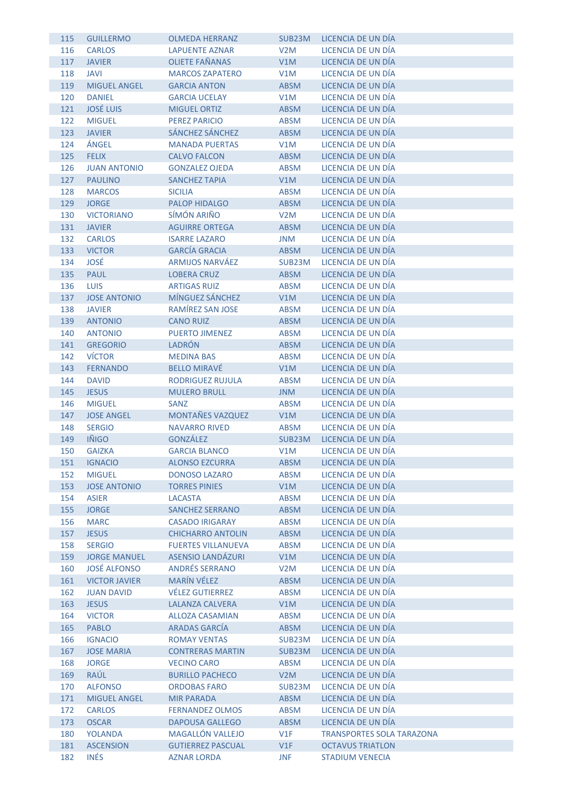| 115 | <b>GUILLERMO</b>     | <b>OLMEDA HERRANZ</b>     | SUB23M           | LICENCIA DE UN DÍA               |
|-----|----------------------|---------------------------|------------------|----------------------------------|
| 116 | <b>CARLOS</b>        | <b>LAPUENTE AZNAR</b>     | V2M              | LICENCIA DE UN DÍA               |
| 117 | <b>JAVIER</b>        | <b>OLIETE FAÑANAS</b>     | V1M              | LICENCIA DE UN DÍA               |
| 118 | <b>JAVI</b>          | <b>MARCOS ZAPATERO</b>    | V1M              | LICENCIA DE UN DÍA               |
| 119 | <b>MIGUEL ANGEL</b>  | <b>GARCIA ANTON</b>       | <b>ABSM</b>      | LICENCIA DE UN DÍA               |
| 120 | <b>DANIEL</b>        | <b>GARCIA UCELAY</b>      | V1M              | LICENCIA DE UN DÍA               |
| 121 | <b>JOSÉ LUIS</b>     | MIGUEL ORTIZ              | <b>ABSM</b>      | LICENCIA DE UN DÍA               |
| 122 | <b>MIGUEL</b>        | <b>PEREZ PARICIO</b>      | <b>ABSM</b>      | LICENCIA DE UN DÍA               |
| 123 | <b>JAVIER</b>        | SÁNCHEZ SÁNCHEZ           | <b>ABSM</b>      | LICENCIA DE UN DÍA               |
| 124 | ÁNGEL                | <b>MANADA PUERTAS</b>     | V1M              | LICENCIA DE UN DÍA               |
| 125 | <b>FELIX</b>         | <b>CALVO FALCON</b>       | <b>ABSM</b>      | LICENCIA DE UN DÍA               |
| 126 | <b>JUAN ANTONIO</b>  | <b>GONZALEZ OJEDA</b>     | <b>ABSM</b>      | LICENCIA DE UN DÍA               |
| 127 | <b>PAULINO</b>       | <b>SANCHEZ TAPIA</b>      | V1M              | LICENCIA DE UN DÍA               |
| 128 | <b>MARCOS</b>        | <b>SICILIA</b>            | <b>ABSM</b>      | LICENCIA DE UN DÍA               |
| 129 | <b>JORGE</b>         | <b>PALOP HIDALGO</b>      | <b>ABSM</b>      | LICENCIA DE UN DÍA               |
| 130 | <b>VICTORIANO</b>    | SÍMÓN ARIÑO               | V2M              | LICENCIA DE UN DÍA               |
| 131 | <b>JAVIER</b>        | <b>AGUIRRE ORTEGA</b>     | <b>ABSM</b>      | LICENCIA DE UN DÍA               |
| 132 | <b>CARLOS</b>        | <b>ISARRE LAZARO</b>      | <b>JNM</b>       | LICENCIA DE UN DÍA               |
| 133 | <b>VICTOR</b>        | <b>GARCÍA GRACIA</b>      | <b>ABSM</b>      | LICENCIA DE UN DÍA               |
| 134 | JOSÉ                 | <b>ARMIJOS NARVÁEZ</b>    | SUB23M           | LICENCIA DE UN DÍA               |
| 135 | <b>PAUL</b>          | <b>LOBERA CRUZ</b>        | <b>ABSM</b>      | LICENCIA DE UN DÍA               |
| 136 | <b>LUIS</b>          | <b>ARTIGAS RUIZ</b>       | <b>ABSM</b>      | LICENCIA DE UN DÍA               |
| 137 | <b>JOSE ANTONIO</b>  | MÍNGUEZ SÁNCHEZ           | V1M              | LICENCIA DE UN DÍA               |
| 138 | <b>JAVIER</b>        | RAMÍREZ SAN JOSE          | <b>ABSM</b>      | LICENCIA DE UN DÍA               |
| 139 | <b>ANTONIO</b>       | <b>CANO RUIZ</b>          | <b>ABSM</b>      | LICENCIA DE UN DÍA               |
| 140 | <b>ANTONIO</b>       | <b>PUERTO JIMENEZ</b>     | <b>ABSM</b>      | LICENCIA DE UN DÍA               |
| 141 | <b>GREGORIO</b>      | <b>LADRÓN</b>             | <b>ABSM</b>      | LICENCIA DE UN DÍA               |
| 142 | <b>VÍCTOR</b>        | <b>MEDINA BAS</b>         | <b>ABSM</b>      | LICENCIA DE UN DÍA               |
| 143 | <b>FERNANDO</b>      | <b>BELLO MIRAVÉ</b>       | V1M              | LICENCIA DE UN DÍA               |
| 144 | <b>DAVID</b>         | <b>RODRIGUEZ RUJULA</b>   | <b>ABSM</b>      | LICENCIA DE UN DÍA               |
| 145 | <b>JESUS</b>         | <b>MULERO BRULL</b>       | <b>JNM</b>       | LICENCIA DE UN DÍA               |
| 146 | <b>MIGUEL</b>        | <b>SANZ</b>               | <b>ABSM</b>      | LICENCIA DE UN DÍA               |
| 147 | <b>JOSE ANGEL</b>    | MONTAÑES VAZQUEZ          | V1M              | LICENCIA DE UN DÍA               |
| 148 | <b>SERGIO</b>        | <b>NAVARRO RIVED</b>      | ABSM             | LICENCIA DE UN DÍA               |
| 149 | <b>IÑIGO</b>         | <b>GONZÁLEZ</b>           | SUB23M           | LICENCIA DE UN DÍA               |
| 150 | <b>GAIZKA</b>        | <b>GARCIA BLANCO</b>      | V1M              | LICENCIA DE UN DÍA               |
| 151 | <b>IGNACIO</b>       | <b>ALONSO EZCURRA</b>     | <b>ABSM</b>      | LICENCIA DE UN DÍA               |
| 152 | <b>MIGUEL</b>        | <b>DONOSO LAZARO</b>      | <b>ABSM</b>      | LICENCIA DE UN DÍA               |
| 153 | <b>JOSE ANTONIO</b>  | <b>TORRES PINIES</b>      | V1M              | LICENCIA DE UN DÍA               |
| 154 | <b>ASIER</b>         | <b>LACASTA</b>            | ABSM             | LICENCIA DE UN DÍA               |
| 155 | <b>JORGE</b>         | <b>SANCHEZ SERRANO</b>    | ABSM             | LICENCIA DE UN DÍA               |
| 156 | <b>MARC</b>          | <b>CASADO IRIGARAY</b>    | ABSM             | LICENCIA DE UN DÍA               |
| 157 | <b>JESUS</b>         | <b>CHICHARRO ANTOLIN</b>  | <b>ABSM</b>      | LICENCIA DE UN DÍA               |
| 158 | <b>SERGIO</b>        | <b>FUERTES VILLANUEVA</b> | <b>ABSM</b>      | LICENCIA DE UN DÍA               |
| 159 | <b>JORGE MANUEL</b>  | <b>ASENSIO LANDÁZURI</b>  | V1M              | LICENCIA DE UN DÍA               |
| 160 | <b>JOSÉ ALFONSO</b>  | <b>ANDRÉS SERRANO</b>     | V <sub>2</sub> M | LICENCIA DE UN DÍA               |
| 161 | <b>VICTOR JAVIER</b> | <b>MARÍN VÉLEZ</b>        | ABSM             | LICENCIA DE UN DÍA               |
| 162 | <b>JUAN DAVID</b>    | <b>VÉLEZ GUTIERREZ</b>    | ABSM             | LICENCIA DE UN DÍA               |
| 163 | <b>JESUS</b>         | <b>LALANZA CALVERA</b>    | V1M              | LICENCIA DE UN DÍA               |
| 164 | <b>VICTOR</b>        | <b>ALLOZA CASAMIAN</b>    | <b>ABSM</b>      | LICENCIA DE UN DÍA               |
| 165 | <b>PABLO</b>         | <b>ARADAS GARCÍA</b>      | <b>ABSM</b>      | LICENCIA DE UN DÍA               |
| 166 | <b>IGNACIO</b>       | <b>ROMAY VENTAS</b>       | SUB23M           | LICENCIA DE UN DÍA               |
| 167 | <b>JOSE MARIA</b>    | <b>CONTRERAS MARTIN</b>   | SUB23M           | LICENCIA DE UN DÍA               |
| 168 | <b>JORGE</b>         | <b>VECINO CARO</b>        | ABSM             | LICENCIA DE UN DÍA               |
| 169 | RAÚL                 | <b>BURILLO PACHECO</b>    | V <sub>2</sub> M | LICENCIA DE UN DÍA               |
| 170 | <b>ALFONSO</b>       | <b>ORDOBAS FARO</b>       | SUB23M           | LICENCIA DE UN DÍA               |
| 171 | <b>MIGUEL ANGEL</b>  | <b>MIR PARADA</b>         | ABSM             | LICENCIA DE UN DÍA               |
| 172 | <b>CARLOS</b>        | <b>FERNANDEZ OLMOS</b>    | ABSM             | LICENCIA DE UN DÍA               |
| 173 | <b>OSCAR</b>         | <b>DAPOUSA GALLEGO</b>    | ABSM             | LICENCIA DE UN DÍA               |
| 180 | <b>YOLANDA</b>       | MAGALLÓN VALLEJO          | V1F              | <b>TRANSPORTES SOLA TARAZONA</b> |
| 181 | <b>ASCENSION</b>     | <b>GUTIERREZ PASCUAL</b>  | V1F              | <b>OCTAVUS TRIATLON</b>          |
| 182 | <b>INÉS</b>          | <b>AZNAR LORDA</b>        | <b>JNF</b>       | <b>STADIUM VENECIA</b>           |
|     |                      |                           |                  |                                  |